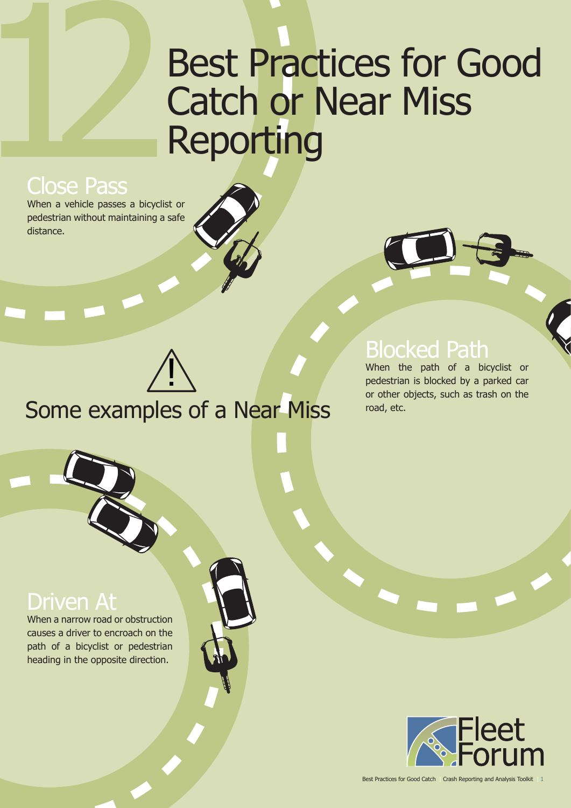# **Best Practices for Good** Catch or Near Miss Reporting

## Close Pass

When a vehicle passes a bicyclist or pedestrian without maintaining a safe distance.



## Blocked Path

When the path of a bicyclist or pedestrian is blocked by a parked car or other objects, such as trash on the road, etc.

Some examples of a Near Miss <u>]</u>

## Driven

When a narrow road or obstruction causes a driver to encroach on the path of a bicyclist or pedestrian heading in the opposite direction.



Best Practices for Good Catch | Crash Reporting and Analysis Toolkit | 1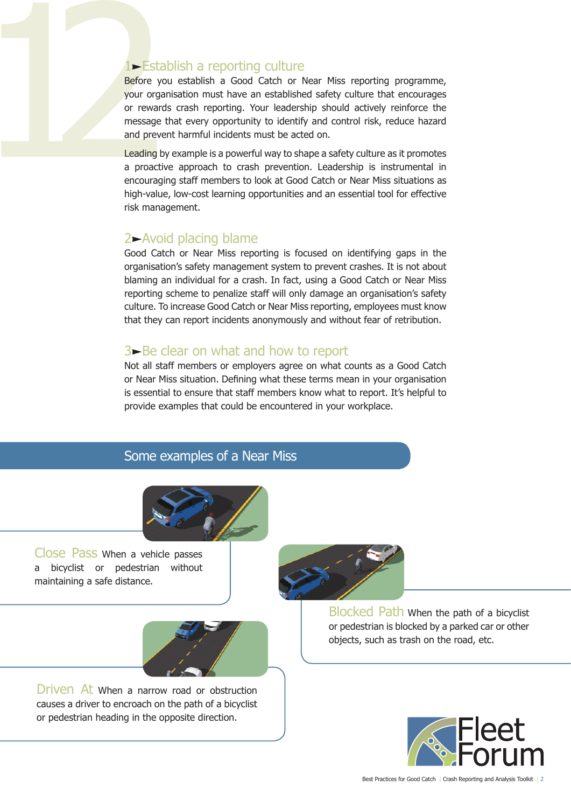1<br>
Fistablish a reporting culture<br>
Before you establish a Good Catch or I<br>
your organisation must have an establishe<br>
or rewards crash reporting. Your leaders<br>
message that every opportunity to identif<br>
and prevent harmful Before you establish a Good Catch or Near Miss reporting programme, your organisation must have an established safety culture that encourages or rewards crash reporting. Your leadership should actively reinforce the message that every opportunity to identify and control risk, reduce hazard and prevent harmful incidents must be acted on.

Leading by example is a powerful way to shape a safety culture as it promotes a proactive approach to crash prevention. Leadership is instrumental in encouraging staff members to look at Good Catch or Near Miss situations as high-value, low-cost learning opportunities and an essential tool for effective risk management.

#### 2-Avoid placing blame

Good Catch or Near Miss reporting is focused on identifying gaps in the organisation's safety management system to prevent crashes. It is not about blaming an individual for a crash. In fact, using a Good Catch or Near Miss reporting scheme to penalize staff will only damage an organisation's safety culture. To increase Good Catch or Near Miss reporting, employees must know that they can report incidents anonymously and without fear of retribution.

#### $3\rightarrow$  Be clear on what and how to report

Not all staff members or employers agree on what counts as a Good Catch or Near Miss situation. Defining what these terms mean in your organisation is essential to ensure that staff members know what to report. It's helpful to provide examples that could be encountered in your workplace.

#### Some examples of a Near Miss



Close Pass When a vehicle passes a bicyclist or pedestrian without maintaining a safe distance.



Driven At when a narrow road or obstruction causes a driver to encroach on the path of a bicyclist or pedestrian heading in the opposite direction.



Blocked Path When the path of a bicyclist or pedestrian is blocked by a parked car or other objects, such as trash on the road, etc.

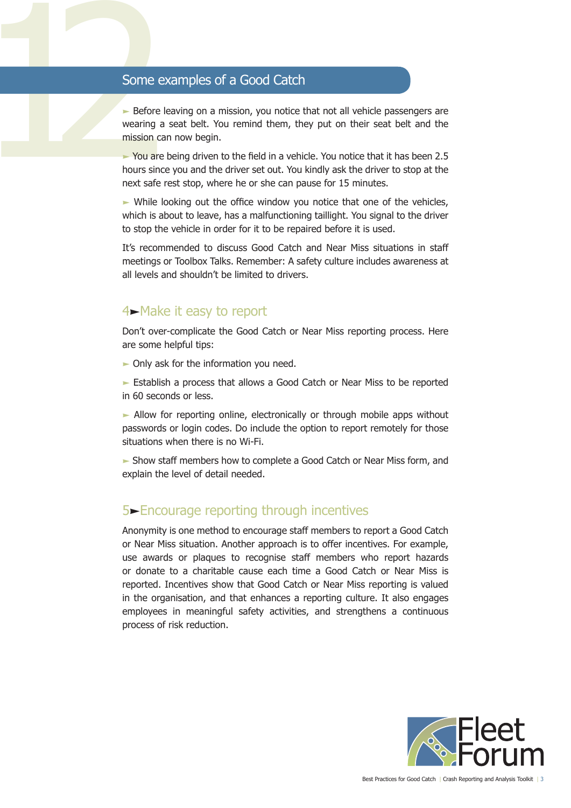$\triangleright$  Before leaving on a mission, you notice that not all vehicle passengers are wearing a seat belt. You remind them, they put on their seat belt and the mission can now begin.

12 Some examples of a Good Catch<br>
12 Before leaving on a mission, you notice the wearing a seat belt. You remind them, the mission can now begin.<br>
12 You are being driven to the field in a vehicle hours since you and the d  $\blacktriangleright$  You are being driven to the field in a vehicle. You notice that it has been 2.5 hours since you and the driver set out. You kindly ask the driver to stop at the next safe rest stop, where he or she can pause for 15 minutes.

> $\triangleright$  While looking out the office window you notice that one of the vehicles, which is about to leave, has a malfunctioning taillight. You signal to the driver to stop the vehicle in order for it to be repaired before it is used.

> It's recommended to discuss Good Catch and Near Miss situations in staff meetings or Toolbox Talks. Remember: A safety culture includes awareness at all levels and shouldn't be limited to drivers.

### 4-Make it easy to report

Don't over-complicate the Good Catch or Near Miss reporting process. Here are some helpful tips:

 $\triangleright$  Only ask for the information you need.

Establish a process that allows a Good Catch or Near Miss to be reported in 60 seconds or less.

 $\blacktriangleright$  Allow for reporting online, electronically or through mobile apps without passwords or login codes. Do include the option to report remotely for those situations when there is no Wi-Fi.

 Show staff members how to complete a Good Catch or Near Miss form, and explain the level of detail needed.

### 5Encourage reporting through incentives

Anonymity is one method to encourage staff members to report a Good Catch or Near Miss situation. Another approach is to offer incentives. For example, use awards or plaques to recognise staff members who report hazards or donate to a charitable cause each time a Good Catch or Near Miss is reported. Incentives show that Good Catch or Near Miss reporting is valued in the organisation, and that enhances a reporting culture. It also engages employees in meaningful safety activities, and strengthens a continuous process of risk reduction.